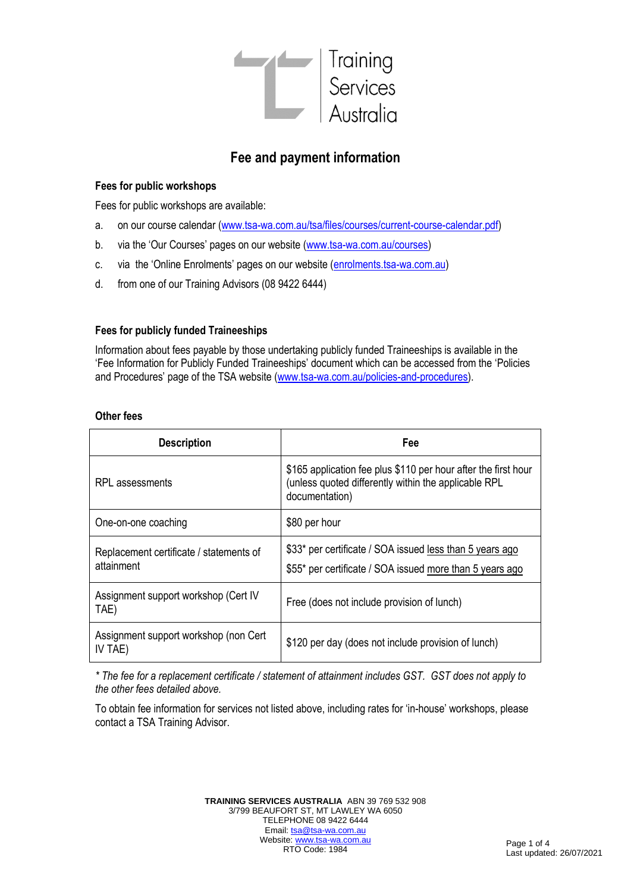

# **Fee and payment information**

#### **Fees for public workshops**

Fees for public workshops are available:

- a. on our course calendar [\(www.tsa-wa.com.au/tsa/files/courses/current-course-calendar.pdf\)](http://www.tsa-wa.com.au/tsa/files/courses/current-course-calendar.pdf)
- b. via the 'Our Courses' pages on our website ([www.tsa-wa.com.au/courses\)](http://www.tsa-wa.com.au/courses)
- c. via the 'Online Enrolments' pages on our website ([enrolments.tsa-wa.com.au\)](http://www.enrolments.tsa-wa.com.au/)
- d. from one of our Training Advisors (08 9422 6444)

## **Fees for publicly funded Traineeships**

Information about fees payable by those undertaking publicly funded Traineeships is available in the 'Fee Information for Publicly Funded Traineeships' document which can be accessed from the 'Policies and Procedures' page of the TSA website ([www.tsa-wa.com.au/policies-and-procedures\)](http://www.tsa-wa.com.au/policies-and-procedures).

#### **Other fees**

| <b>Description</b>                                    | Fee                                                                                                                                      |  |
|-------------------------------------------------------|------------------------------------------------------------------------------------------------------------------------------------------|--|
| RPL assessments                                       | \$165 application fee plus \$110 per hour after the first hour<br>(unless quoted differently within the applicable RPL<br>documentation) |  |
| One-on-one coaching                                   | \$80 per hour                                                                                                                            |  |
| Replacement certificate / statements of<br>attainment | \$33* per certificate / SOA issued less than 5 years ago<br>\$55* per certificate / SOA issued more than 5 years ago                     |  |
| Assignment support workshop (Cert IV<br>TAE)          | Free (does not include provision of lunch)                                                                                               |  |
| Assignment support workshop (non Cert)<br>IV TAE)     | \$120 per day (does not include provision of lunch)                                                                                      |  |

*\* The fee for a replacement certificate / statement of attainment includes GST. GST does not apply to the other fees detailed above.*

To obtain fee information for services not listed above, including rates for 'in-house' workshops, please contact a TSA Training Advisor.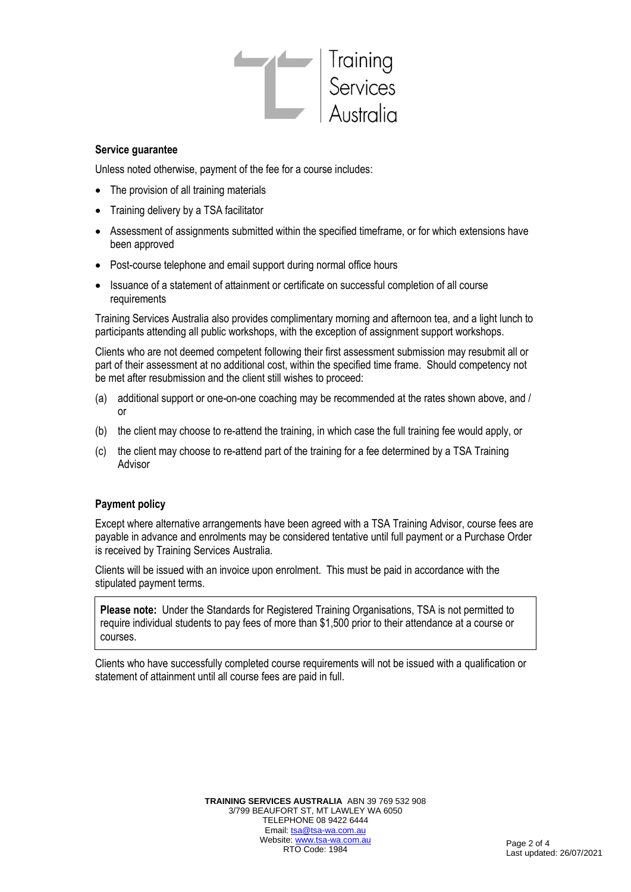

#### **Service guarantee**

Unless noted otherwise, payment of the fee for a course includes:

- The provision of all training materials
- Training delivery by a TSA facilitator
- Assessment of assignments submitted within the specified timeframe, or for which extensions have been approved
- Post-course telephone and email support during normal office hours
- Issuance of a statement of attainment or certificate on successful completion of all course requirements

Training Services Australia also provides complimentary morning and afternoon tea, and a light lunch to participants attending all public workshops, with the exception of assignment support workshops.

Clients who are not deemed competent following their first assessment submission may resubmit all or part of their assessment at no additional cost, within the specified time frame. Should competency not be met after resubmission and the client still wishes to proceed:

- (a) additional support or one-on-one coaching may be recommended at the rates shown above, and / or
- (b) the client may choose to re-attend the training, in which case the full training fee would apply, or
- (c) the client may choose to re-attend part of the training for a fee determined by a TSA Training Advisor

## **Payment policy**

Except where alternative arrangements have been agreed with a TSA Training Advisor, course fees are payable in advance and enrolments may be considered tentative until full payment or a Purchase Order is received by Training Services Australia.

Clients will be issued with an invoice upon enrolment. This must be paid in accordance with the stipulated payment terms.

**Please note:** Under the Standards for Registered Training Organisations, TSA is not permitted to require individual students to pay fees of more than \$1,500 prior to their attendance at a course or courses.

Clients who have successfully completed course requirements will not be issued with a qualification or statement of attainment until all course fees are paid in full.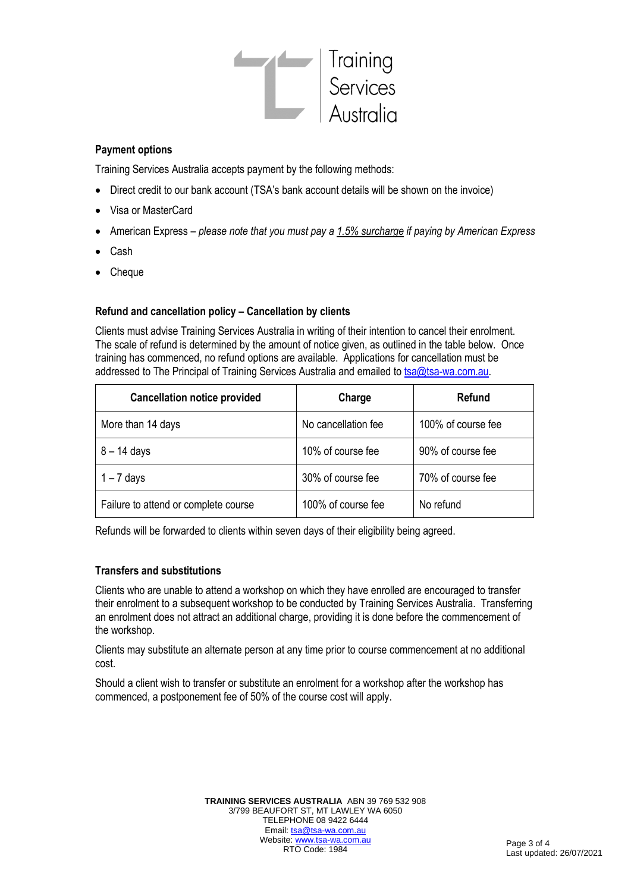

## **Payment options**

Training Services Australia accepts payment by the following methods:

- Direct credit to our bank account (TSA's bank account details will be shown on the invoice)
- Visa or MasterCard
- American Express *please note that you must pay a 1.5% surcharge if paying by American Express*
- Cash
- Cheque

## **Refund and cancellation policy – Cancellation by clients**

Clients must advise Training Services Australia in writing of their intention to cancel their enrolment. The scale of refund is determined by the amount of notice given, as outlined in the table below. Once training has commenced, no refund options are available. Applications for cancellation must be addressed to The Principal of Training Services Australia and emailed t[o tsa@tsa-wa.com.au.](mailto:tsa@tsa-wa.com.au)

| <b>Cancellation notice provided</b>  | Charge              | Refund             |
|--------------------------------------|---------------------|--------------------|
| More than 14 days                    | No cancellation fee | 100% of course fee |
| $8 - 14$ days                        | 10% of course fee   | 90% of course fee  |
| $1 - 7$ days                         | 30% of course fee   | 70% of course fee  |
| Failure to attend or complete course | 100% of course fee  | No refund          |

Refunds will be forwarded to clients within seven days of their eligibility being agreed.

## **Transfers and substitutions**

Clients who are unable to attend a workshop on which they have enrolled are encouraged to transfer their enrolment to a subsequent workshop to be conducted by Training Services Australia. Transferring an enrolment does not attract an additional charge, providing it is done before the commencement of the workshop.

Clients may substitute an alternate person at any time prior to course commencement at no additional cost.

Should a client wish to transfer or substitute an enrolment for a workshop after the workshop has commenced, a postponement fee of 50% of the course cost will apply.